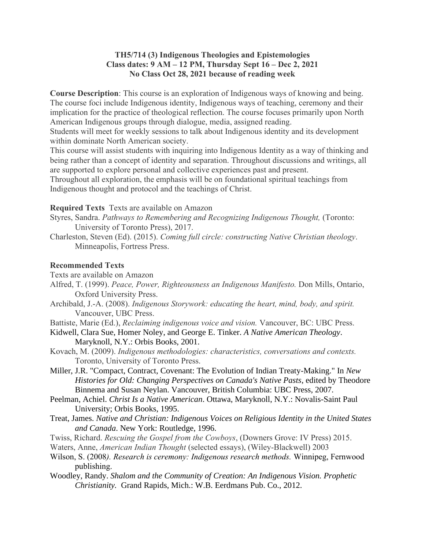#### **TH5/714 (3) Indigenous Theologies and Epistemologies Class dates: 9 AM – 12 PM, Thursday Sept 16 – Dec 2, 2021 No Class Oct 28, 2021 because of reading week**

**Course Description**: This course is an exploration of Indigenous ways of knowing and being. The course foci include Indigenous identity, Indigenous ways of teaching, ceremony and their implication for the practice of theological reflection. The course focuses primarily upon North American Indigenous groups through dialogue, media, assigned reading.

Students will meet for weekly sessions to talk about Indigenous identity and its development within dominate North American society.

This course will assist students with inquiring into Indigenous Identity as a way of thinking and being rather than a concept of identity and separation. Throughout discussions and writings, all are supported to explore personal and collective experiences past and present.

Throughout all exploration, the emphasis will be on foundational spiritual teachings from Indigenous thought and protocol and the teachings of Christ.

#### **Required Texts** Texts are available on Amazon

- Styres, Sandra. *Pathways to Remembering and Recognizing Indigenous Thought,* (Toronto: University of Toronto Press), 2017.
- Charleston, Steven (Ed). (2015). *Coming full circle: constructing Native Christian theology*. Minneapolis, Fortress Press.

#### **Recommended Texts**

- Texts are available on Amazon
- Alfred, T. (1999). *Peace, Power, Righteousness an Indigenous Manifesto.* Don Mills, Ontario, Oxford University Press.
- Archibald, J.-A. (2008). *Indigenous Storywork: educating the heart, mind, body, and spirit.* Vancouver, UBC Press.
- Battiste, Marie (Ed.), *Reclaiming indigenous voice and vision.* Vancouver, BC: UBC Press.
- Kidwell, Clara Sue, Homer Noley, and George E. Tinker. *A Native American Theology*. Maryknoll, N.Y.: Orbis Books, 2001.
- Kovach, M. (2009). *Indigenous methodologies: characteristics, conversations and contexts.* Toronto, University of Toronto Press.
- Miller, J.R. "Compact, Contract, Covenant: The Evolution of Indian Treaty-Making." In *New Histories for Old: Changing Perspectives on Canada's Native Pasts*, edited by Theodore Binnema and Susan Neylan. Vancouver, British Columbia: UBC Press, 2007.
- Peelman, Achiel. *Christ Is a Native American*. Ottawa, Maryknoll, N.Y.: Novalis-Saint Paul University; Orbis Books, 1995.
- Treat, James. *Native and Christian: Indigenous Voices on Religious Identity in the United States and Canada*. New York: Routledge, 1996.
- Twiss, Richard. *Rescuing the Gospel from the Cowboys*, (Downers Grove: IV Press) 2015.
- Waters, Anne, *American Indian Thought* (selected essays), (Wiley-Blackwell) 2003
- Wilson, S. (2008*). Research is ceremony: Indigenous research methods.* Winnipeg, Fernwood publishing.
- Woodley, Randy. *Shalom and the Community of Creation: An Indigenous Vision. Prophetic Christianity.* Grand Rapids, Mich.: W.B. Eerdmans Pub. Co., 2012.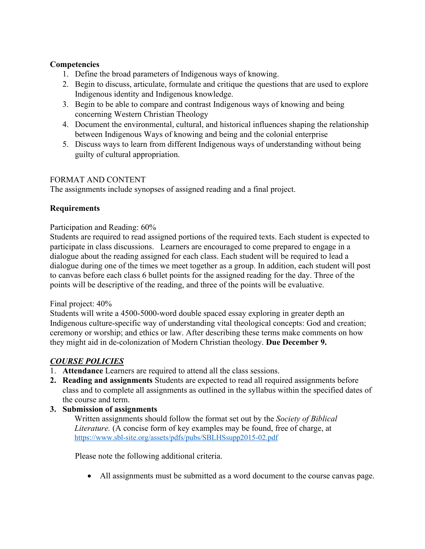## **Competencies**

- 1. Define the broad parameters of Indigenous ways of knowing.
- 2. Begin to discuss, articulate, formulate and critique the questions that are used to explore Indigenous identity and Indigenous knowledge.
- 3. Begin to be able to compare and contrast Indigenous ways of knowing and being concerning Western Christian Theology
- 4. Document the environmental, cultural, and historical influences shaping the relationship between Indigenous Ways of knowing and being and the colonial enterprise
- 5. Discuss ways to learn from different Indigenous ways of understanding without being guilty of cultural appropriation.

## FORMAT AND CONTENT

The assignments include synopses of assigned reading and a final project.

## **Requirements**

## Participation and Reading: 60%

Students are required to read assigned portions of the required texts. Each student is expected to participate in class discussions. Learners are encouraged to come prepared to engage in a dialogue about the reading assigned for each class. Each student will be required to lead a dialogue during one of the times we meet together as a group. In addition, each student will post to canvas before each class 6 bullet points for the assigned reading for the day. Three of the points will be descriptive of the reading, and three of the points will be evaluative.

## Final project: 40%

Students will write a 4500-5000-word double spaced essay exploring in greater depth an Indigenous culture-specific way of understanding vital theological concepts: God and creation; ceremony or worship; and ethics or law. After describing these terms make comments on how they might aid in de-colonization of Modern Christian theology. **Due December 9.**

## *COURSE POLICIES*

- 1. **Attendance** Learners are required to attend all the class sessions.
- **2. Reading and assignments** Students are expected to read all required assignments before class and to complete all assignments as outlined in the syllabus within the specified dates of the course and term.
- **3. Submission of assignments**

Written assignments should follow the format set out by the *Society of Biblical Literature.* (A concise form of key examples may be found, free of charge, at <https://www.sbl-site.org/assets/pdfs/pubs/SBLHSsupp2015-02.pdf>

Please note the following additional criteria.

• All assignments must be submitted as a word document to the course canvas page.